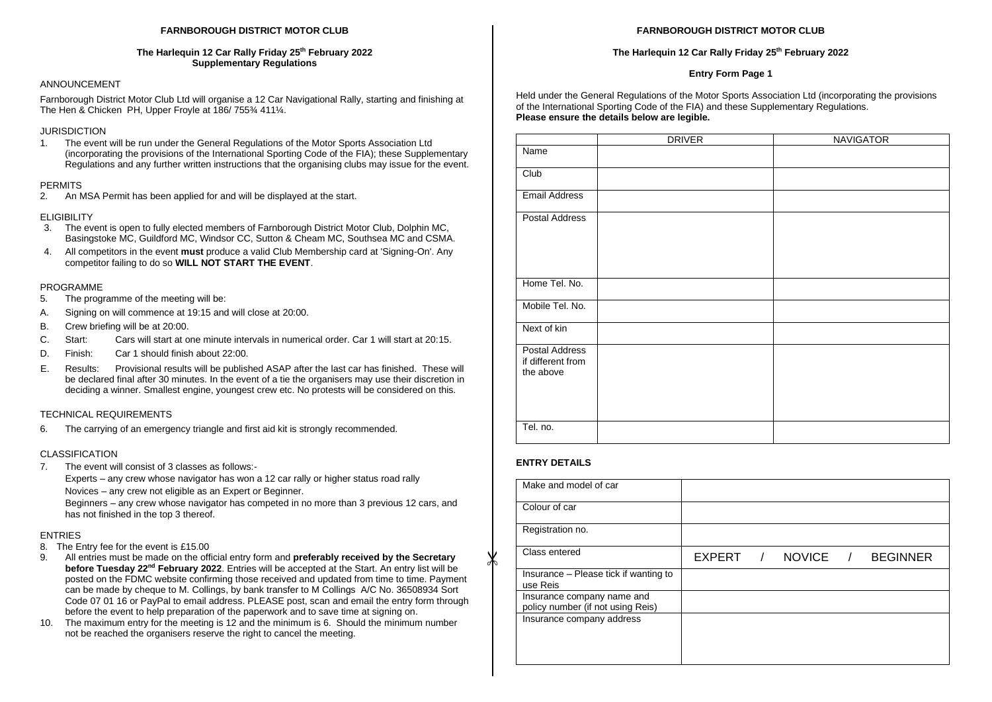#### **FARNBOROUGH DISTRICT MOTOR CLUB**

#### **The Harlequin 12 Car Rally Friday 25th February 2022 Supplementary Regulations**

# ANNOUNCEMENT

Farnborough District Motor Club Ltd will organise a 12 Car Navigational Rally, starting and finishing at The Hen & Chicken PH, Upper Froyle at 186/ 755¾ 411¼.

### JURISDICTION

1. The event will be run under the General Regulations of the Motor Sports Association Ltd (incorporating the provisions of the International Sporting Code of the FIA); these Supplementary Regulations and any further written instructions that the organising clubs may issue for the event.

#### PERMITS

2. An MSA Permit has been applied for and will be displayed at the start.

# **ELIGIBILITY**

- 3. The event is open to fully elected members of Farnborough District Motor Club, Dolphin MC, Basingstoke MC, Guildford MC, Windsor CC, Sutton & Cheam MC, Southsea MC and CSMA.
- 4. All competitors in the event **must** produce a valid Club Membership card at 'Signing-On'. Any competitor failing to do so **WILL NOT START THE EVENT**.

### PROGRAMME

- 5. The programme of the meeting will be:
- A. Signing on will commence at 19:15 and will close at 20:00.
- B. Crew briefing will be at 20:00.
- C. Start: Cars will start at one minute intervals in numerical order. Car 1 will start at 20:15.
- D. Finish: Car 1 should finish about 22:00.
- E. Results: Provisional results will be published ASAP after the last car has finished. These will be declared final after 30 minutes. In the event of a tie the organisers may use their discretion in deciding a winner. Smallest engine, youngest crew etc. No protests will be considered on this.

# TECHNICAL REQUIREMENTS

6. The carrying of an emergency triangle and first aid kit is strongly recommended.

# CLASSIFICATION

7. The event will consist of 3 classes as follows:-

Experts – any crew whose navigator has won a 12 car rally or higher status road rally Novices – any crew not eligible as an Expert or Beginner.

Beginners – any crew whose navigator has competed in no more than 3 previous 12 cars, and has not finished in the top 3 thereof.

# ENTRIES

- 8. The Entry fee for the event is £15.00
- 9. All entries must be made on the official entry form and **preferably received by the Secretary before Tuesday 22nd February 2022**. Entries will be accepted at the Start. An entry list will be posted on the FDMC website confirming those received and updated from time to time. Payment can be made by cheque to M. Collings, by bank transfer to M Collings A/C No. 36508934 Sort Code 07 01 16 or PayPal to email address. PLEASE post, scan and email the entry form through before the event to help preparation of the paperwork and to save time at signing on.
- 10. The maximum entry for the meeting is 12 and the minimum is 6. Should the minimum number not be reached the organisers reserve the right to cancel the meeting.

#### **FARNBOROUGH DISTRICT MOTOR CLUB**

#### **The Harlequin 12 Car Rally Friday 25th February 2022**

### **Entry Form Page 1**

Held under the General Regulations of the Motor Sports Association Ltd (incorporating the provisions of the International Sporting Code of the FIA) and these Supplementary Regulations. **Please ensure the details below are legible.**

|                                                         | <b>DRIVER</b> | <b>NAVIGATOR</b> |
|---------------------------------------------------------|---------------|------------------|
| Name                                                    |               |                  |
| Club                                                    |               |                  |
| <b>Email Address</b>                                    |               |                  |
| Postal Address                                          |               |                  |
| Home Tel. No.                                           |               |                  |
| Mobile Tel. No.                                         |               |                  |
| Next of kin                                             |               |                  |
| <b>Postal Address</b><br>if different from<br>the above |               |                  |
| Tel. no.                                                |               |                  |

# **ENTRY DETAILS**

✕

|  |          | <b>BEGINNER</b> |
|--|----------|-----------------|
|  |          |                 |
|  |          |                 |
|  |          |                 |
|  |          |                 |
|  | EXPERT / | NOVICE /        |